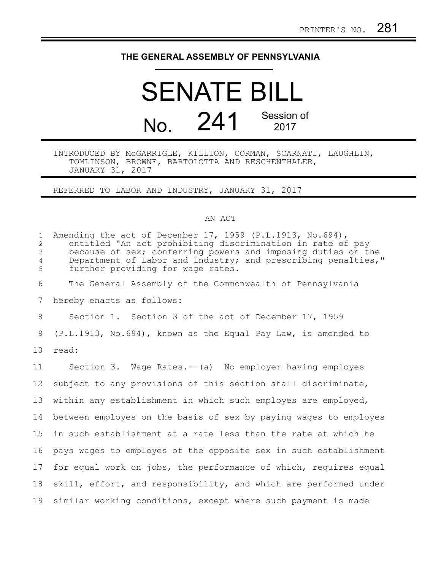## **THE GENERAL ASSEMBLY OF PENNSYLVANIA**

## SENATE BILL No. 241 Session of 2017

## INTRODUCED BY McGARRIGLE, KILLION, CORMAN, SCARNATI, LAUGHLIN, TOMLINSON, BROWNE, BARTOLOTTA AND RESCHENTHALER, JANUARY 31, 2017

REFERRED TO LABOR AND INDUSTRY, JANUARY 31, 2017

## AN ACT

| $\mathbf{1}$<br>$\overline{c}$<br>3<br>$\overline{4}$<br>5 | Amending the act of December 17, 1959 (P.L.1913, No.694),<br>entitled "An act prohibiting discrimination in rate of pay<br>because of sex; conferring powers and imposing duties on the<br>Department of Labor and Industry; and prescribing penalties,"<br>further providing for wage rates. |
|------------------------------------------------------------|-----------------------------------------------------------------------------------------------------------------------------------------------------------------------------------------------------------------------------------------------------------------------------------------------|
| 6                                                          | The General Assembly of the Commonwealth of Pennsylvania                                                                                                                                                                                                                                      |
| 7                                                          | hereby enacts as follows:                                                                                                                                                                                                                                                                     |
| 8                                                          | Section 1. Section 3 of the act of December 17, 1959                                                                                                                                                                                                                                          |
| 9                                                          | (P.L.1913, No.694), known as the Equal Pay Law, is amended to                                                                                                                                                                                                                                 |
| 10                                                         | read:                                                                                                                                                                                                                                                                                         |
| 11                                                         | Section 3. Wage Rates.--(a) No employer having employes                                                                                                                                                                                                                                       |
| $12 \overline{ }$                                          | subject to any provisions of this section shall discriminate,                                                                                                                                                                                                                                 |
| 13                                                         | within any establishment in which such employes are employed,                                                                                                                                                                                                                                 |
| 14                                                         | between employes on the basis of sex by paying wages to employes                                                                                                                                                                                                                              |
| 15                                                         | in such establishment at a rate less than the rate at which he                                                                                                                                                                                                                                |
| 16                                                         | pays wages to employes of the opposite sex in such establishment                                                                                                                                                                                                                              |
| 17                                                         | for equal work on jobs, the performance of which, requires equal                                                                                                                                                                                                                              |
| 18                                                         | skill, effort, and responsibility, and which are performed under                                                                                                                                                                                                                              |
| 19                                                         | similar working conditions, except where such payment is made                                                                                                                                                                                                                                 |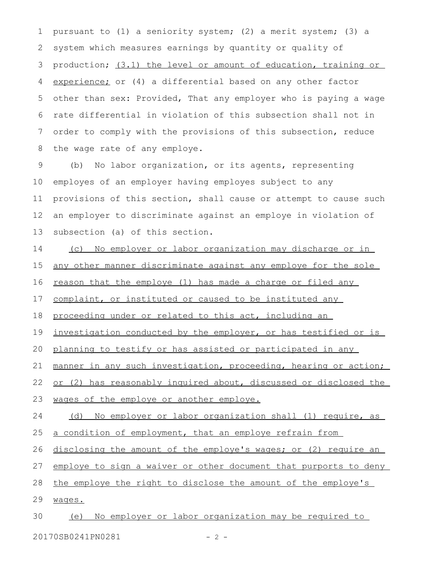pursuant to (1) a seniority system; (2) a merit system; (3) a system which measures earnings by quantity or quality of production; (3.1) the level or amount of education, training or experience; or (4) a differential based on any other factor other than sex: Provided, That any employer who is paying a wage rate differential in violation of this subsection shall not in order to comply with the provisions of this subsection, reduce the wage rate of any employe. 1 2 3 4 5 6 7 8

(b) No labor organization, or its agents, representing employes of an employer having employes subject to any provisions of this section, shall cause or attempt to cause such an employer to discriminate against an employe in violation of subsection (a) of this section. 9 10 11 12 13

(c) No employer or labor organization may discharge or in any other manner discriminate against any employe for the sole reason that the employe (1) has made a charge or filed any 14 15 16

complaint, or instituted or caused to be instituted any 17

proceeding under or related to this act, including an 18

investigation conducted by the employer, or has testified or is 19

planning to testify or has assisted or participated in any 20

manner in any such investigation, proceeding, hearing or action; 21

or (2) has reasonably inquired about, discussed or disclosed the 22

wages of the employe or another employe. 23

(d) No employer or labor organization shall (1) require, as 24

a condition of employment, that an employe refrain from 25

disclosing the amount of the employe's wages; or (2) require an 26

employe to sign a waiver or other document that purports to deny 27

the employe the right to disclose the amount of the employe's 28

wages. 29

(e) No employer or labor organization may be required to 30

20170SB0241PN0281 - 2 -